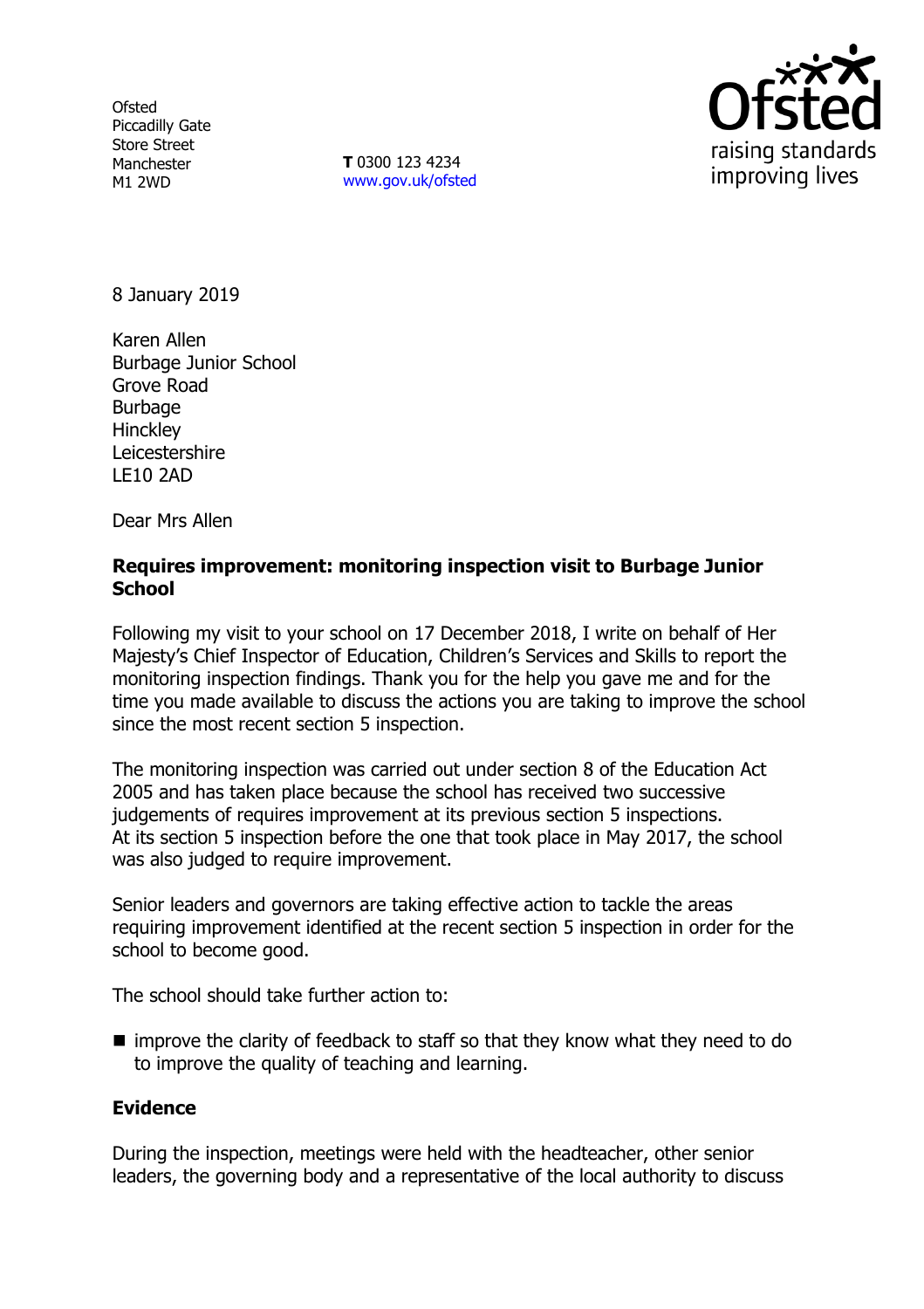**Ofsted** Piccadilly Gate Store Street Manchester M1 2WD

**T** 0300 123 4234 [www.gov.uk/ofsted](http://www.gov.uk/ofsted)



8 January 2019

Karen Allen Burbage Junior School Grove Road Burbage **Hinckley** Leicestershire LE10 2AD

Dear Mrs Allen

### **Requires improvement: monitoring inspection visit to Burbage Junior School**

Following my visit to your school on 17 December 2018, I write on behalf of Her Majesty's Chief Inspector of Education, Children's Services and Skills to report the monitoring inspection findings. Thank you for the help you gave me and for the time you made available to discuss the actions you are taking to improve the school since the most recent section 5 inspection.

The monitoring inspection was carried out under section 8 of the Education Act 2005 and has taken place because the school has received two successive judgements of requires improvement at its previous section 5 inspections. At its section 5 inspection before the one that took place in May 2017, the school was also judged to require improvement.

Senior leaders and governors are taking effective action to tackle the areas requiring improvement identified at the recent section 5 inspection in order for the school to become good.

The school should take further action to:

■ improve the clarity of feedback to staff so that they know what they need to do to improve the quality of teaching and learning.

# **Evidence**

During the inspection, meetings were held with the headteacher, other senior leaders, the governing body and a representative of the local authority to discuss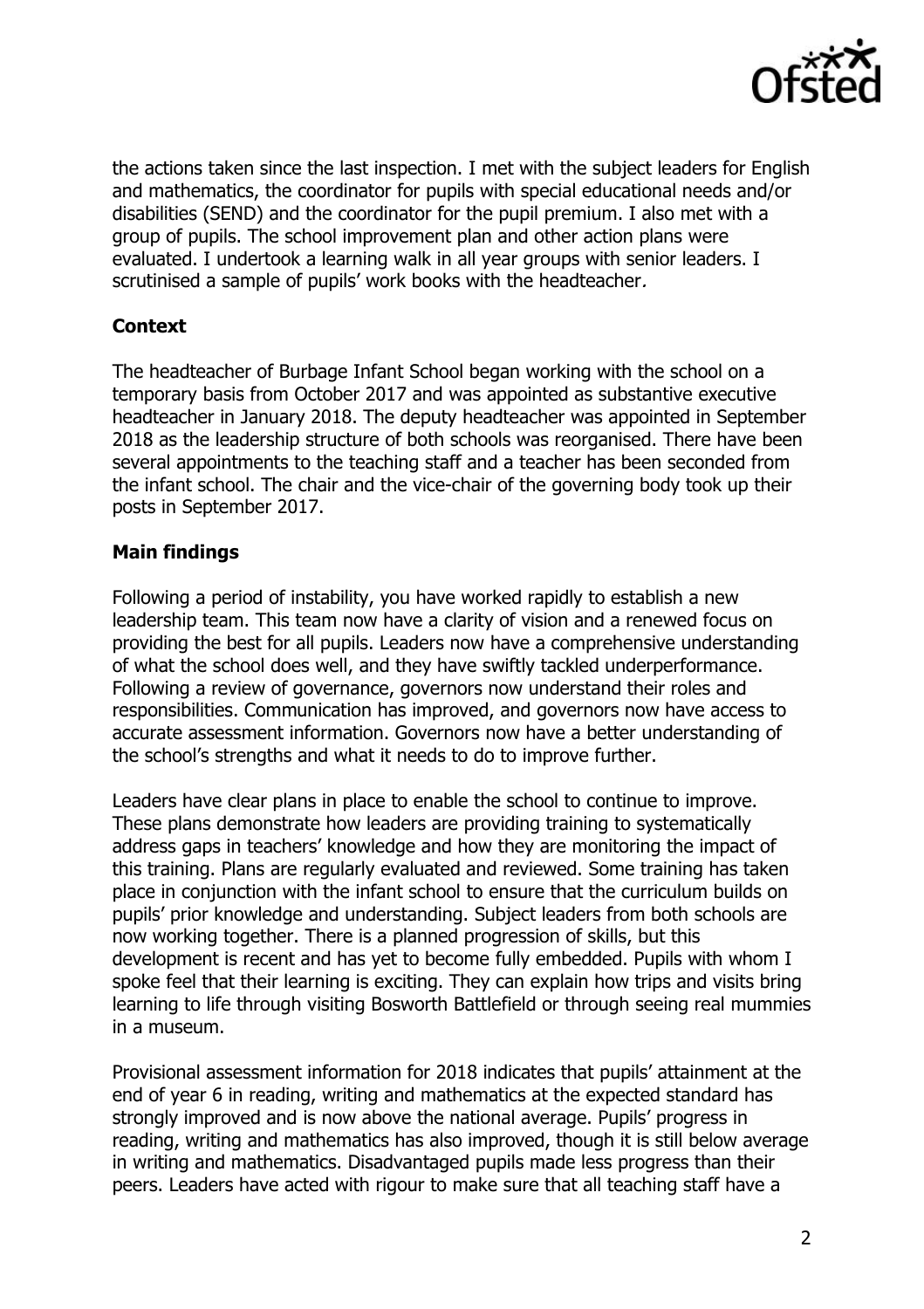

the actions taken since the last inspection. I met with the subject leaders for English and mathematics, the coordinator for pupils with special educational needs and/or disabilities (SEND) and the coordinator for the pupil premium. I also met with a group of pupils. The school improvement plan and other action plans were evaluated. I undertook a learning walk in all year groups with senior leaders. I scrutinised a sample of pupils' work books with the headteacher.

# **Context**

The headteacher of Burbage Infant School began working with the school on a temporary basis from October 2017 and was appointed as substantive executive headteacher in January 2018. The deputy headteacher was appointed in September 2018 as the leadership structure of both schools was reorganised. There have been several appointments to the teaching staff and a teacher has been seconded from the infant school. The chair and the vice-chair of the governing body took up their posts in September 2017.

## **Main findings**

Following a period of instability, you have worked rapidly to establish a new leadership team. This team now have a clarity of vision and a renewed focus on providing the best for all pupils. Leaders now have a comprehensive understanding of what the school does well, and they have swiftly tackled underperformance. Following a review of governance, governors now understand their roles and responsibilities. Communication has improved, and governors now have access to accurate assessment information. Governors now have a better understanding of the school's strengths and what it needs to do to improve further.

Leaders have clear plans in place to enable the school to continue to improve. These plans demonstrate how leaders are providing training to systematically address gaps in teachers' knowledge and how they are monitoring the impact of this training. Plans are regularly evaluated and reviewed. Some training has taken place in conjunction with the infant school to ensure that the curriculum builds on pupils' prior knowledge and understanding. Subject leaders from both schools are now working together. There is a planned progression of skills, but this development is recent and has yet to become fully embedded. Pupils with whom I spoke feel that their learning is exciting. They can explain how trips and visits bring learning to life through visiting Bosworth Battlefield or through seeing real mummies in a museum.

Provisional assessment information for 2018 indicates that pupils' attainment at the end of year 6 in reading, writing and mathematics at the expected standard has strongly improved and is now above the national average. Pupils' progress in reading, writing and mathematics has also improved, though it is still below average in writing and mathematics. Disadvantaged pupils made less progress than their peers. Leaders have acted with rigour to make sure that all teaching staff have a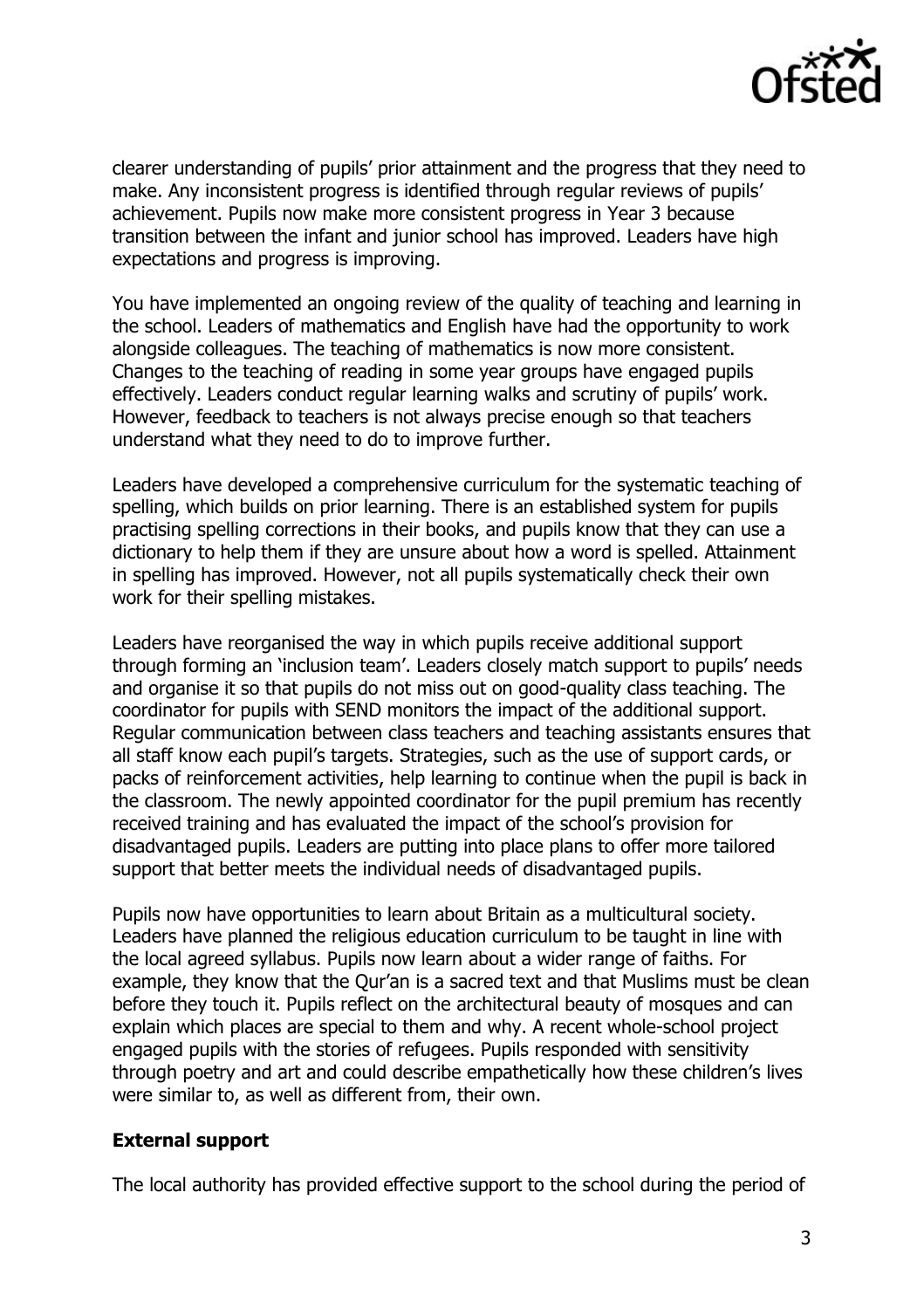

clearer understanding of pupils' prior attainment and the progress that they need to make. Any inconsistent progress is identified through regular reviews of pupils' achievement. Pupils now make more consistent progress in Year 3 because transition between the infant and junior school has improved. Leaders have high expectations and progress is improving.

You have implemented an ongoing review of the quality of teaching and learning in the school. Leaders of mathematics and English have had the opportunity to work alongside colleagues. The teaching of mathematics is now more consistent. Changes to the teaching of reading in some year groups have engaged pupils effectively. Leaders conduct regular learning walks and scrutiny of pupils' work. However, feedback to teachers is not always precise enough so that teachers understand what they need to do to improve further.

Leaders have developed a comprehensive curriculum for the systematic teaching of spelling, which builds on prior learning. There is an established system for pupils practising spelling corrections in their books, and pupils know that they can use a dictionary to help them if they are unsure about how a word is spelled. Attainment in spelling has improved. However, not all pupils systematically check their own work for their spelling mistakes.

Leaders have reorganised the way in which pupils receive additional support through forming an 'inclusion team'. Leaders closely match support to pupils' needs and organise it so that pupils do not miss out on good-quality class teaching. The coordinator for pupils with SEND monitors the impact of the additional support. Regular communication between class teachers and teaching assistants ensures that all staff know each pupil's targets. Strategies, such as the use of support cards, or packs of reinforcement activities, help learning to continue when the pupil is back in the classroom. The newly appointed coordinator for the pupil premium has recently received training and has evaluated the impact of the school's provision for disadvantaged pupils. Leaders are putting into place plans to offer more tailored support that better meets the individual needs of disadvantaged pupils.

Pupils now have opportunities to learn about Britain as a multicultural society. Leaders have planned the religious education curriculum to be taught in line with the local agreed syllabus. Pupils now learn about a wider range of faiths. For example, they know that the Qur'an is a sacred text and that Muslims must be clean before they touch it. Pupils reflect on the architectural beauty of mosques and can explain which places are special to them and why. A recent whole-school project engaged pupils with the stories of refugees. Pupils responded with sensitivity through poetry and art and could describe empathetically how these children's lives were similar to, as well as different from, their own.

#### **External support**

The local authority has provided effective support to the school during the period of